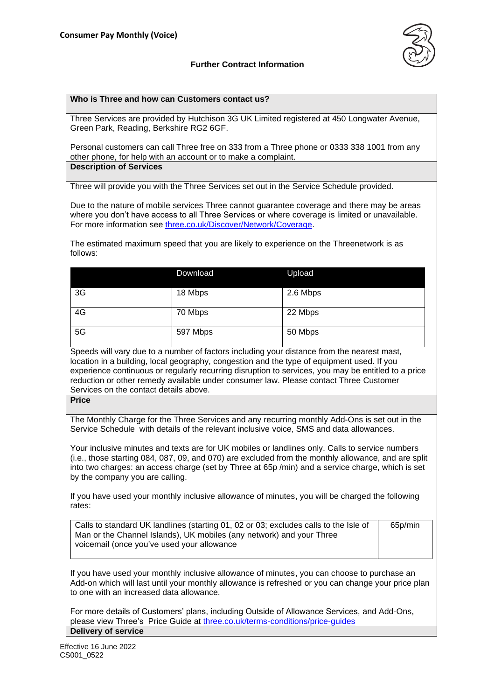

### **Further Contract Information**

#### **Who is Three and how can Customers contact us?**

Three Services are provided by Hutchison 3G UK Limited registered at 450 Longwater Avenue, Green Park, Reading, Berkshire RG2 6GF.

Personal customers can call Three free on 333 from a Three phone or 0333 338 1001 from any other phone, for help with an account or to make a complaint. **Description of Services**

Three will provide you with the Three Services set out in the Service Schedule provided.

Due to the nature of mobile services Three cannot guarantee coverage and there may be areas where you don't have access to all Three Services or where coverage is limited or unavailable. For more information see [three.co.uk/Discover/Network/Coverage.](http://www.three.co.uk/Discover/Network/Coverage)

The estimated maximum speed that you are likely to experience on the Threenetwork is as follows:

|    | Download | Upload   |  |
|----|----------|----------|--|
| 3G | 18 Mbps  | 2.6 Mbps |  |
| 4G | 70 Mbps  | 22 Mbps  |  |
| 5G | 597 Mbps | 50 Mbps  |  |

Speeds will vary due to a number of factors including your distance from the nearest mast, location in a building, local geography, congestion and the type of equipment used. If you experience continuous or regularly recurring disruption to services, you may be entitled to a price reduction or other remedy available under consumer law. Please contact Three Customer Services on the contact details above.

**Price**

The Monthly Charge for the Three Services and any recurring monthly Add-Ons is set out in the Service Schedule with details of the relevant inclusive voice, SMS and data allowances.

Your inclusive minutes and texts are for UK mobiles or landlines only. Calls to service numbers (i.e., those starting 084, 087, 09, and 070) are excluded from the monthly allowance, and are split into two charges: an access charge (set by Three at 65p /min) and a service charge, which is set by the company you are calling.

If you have used your monthly inclusive allowance of minutes, you will be charged the following rates:

Calls to standard UK landlines (starting 01, 02 or 03; excludes calls to the Isle of Man or the Channel Islands), UK mobiles (any network) and your Three voicemail (once you've used your allowance

65p/min

If you have used your monthly inclusive allowance of minutes, you can choose to purchase an Add-on which will last until your monthly allowance is refreshed or you can change your price plan to one with an increased data allowance.

For more details of Customers' plans, including Outside of Allowance Services, and Add-Ons, please view Three's Price Guide at [three.co.uk/terms-conditions/price-guides](http://www.three.co.uk/terms-conditions/price-guides) **Delivery of service**

Effective 16 June 2022 CS001\_0522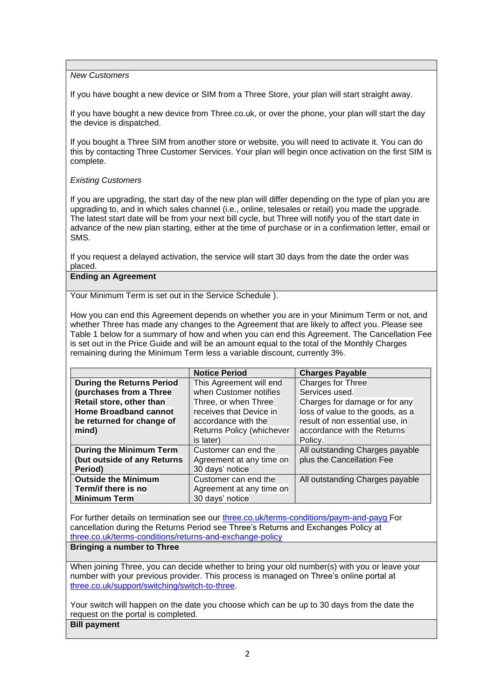#### *New Customers*

If you have bought a new device or SIM from a Three Store, your plan will start straight away.

If you have bought a new device from Three.co.uk, or over the phone, your plan will start the day the device is dispatched.

If you bought a Three SIM from another store or website, you will need to activate it. You can do this by contacting Three Customer Services. Your plan will begin once activation on the first SIM is complete.

#### *Existing Customers*

If you are upgrading, the start day of the new plan will differ depending on the type of plan you are upgrading to, and in which sales channel (i.e., online, telesales or retail) you made the upgrade. The latest start date will be from your next bill cycle, but Three will notify you of the start date in advance of the new plan starting, either at the time of purchase or in a confirmation letter, email or SMS.

If you request a delayed activation, the service will start 30 days from the date the order was placed.

## **Ending an Agreement**

Your Minimum Term is set out in the Service Schedule ).

How you can end this Agreement depends on whether you are in your Minimum Term or not, and whether Three has made any changes to the Agreement that are likely to affect you. Please see Table 1 below for a summary of how and when you can end this Agreement. The Cancellation Fee is set out in the Price Guide and will be an amount equal to the total of the Monthly Charges remaining during the Minimum Term less a variable discount, currently 3%.

|                                  | <b>Notice Period</b>      | <b>Charges Payable</b>           |
|----------------------------------|---------------------------|----------------------------------|
| <b>During the Returns Period</b> | This Agreement will end   | Charges for Three                |
| (purchases from a Three          | when Customer notifies    | Services used.                   |
| Retail store, other than         | Three, or when Three      | Charges for damage or for any    |
| <b>Home Broadband cannot</b>     | receives that Device in   | loss of value to the goods, as a |
| be returned for change of        | accordance with the       | result of non essential use, in  |
| mind)                            | Returns Policy (whichever | accordance with the Returns      |
|                                  | is later)                 | Policy.                          |
| During the Minimum Term          | Customer can end the      | All outstanding Charges payable  |
| (but outside of any Returns      | Agreement at any time on  | plus the Cancellation Fee        |
| Period)                          | 30 days' notice           |                                  |
| <b>Outside the Minimum</b>       | Customer can end the      | All outstanding Charges payable  |
| Term/if there is no              | Agreement at any time on  |                                  |
| <b>Minimum Term</b>              | 30 days' notice           |                                  |

For further details on termination see our [three.co.uk/terms-conditions/paym-and-payg](https://www.three.co.uk/terms-conditions/paym-and-payg) For cancellation during the Returns Period see Three's Returns and Exchanges Policy at [three.co.uk/terms-conditions/returns-and-exchange-policy](http://www.three.co.uk/terms-conditions/returns-and-exchange-policy)

# **Bringing a number to Three**

When joining Three, you can decide whether to bring your old number(s) with you or leave your number with your previous provider. This process is managed on Three's online portal at [three.co.uk/support/switching/switch-to-three.](https://www.three.co.uk/support/switching/switch-to-three)

Your switch will happen on the date you choose which can be up to 30 days from the date the request on the portal is completed.

# **Bill payment**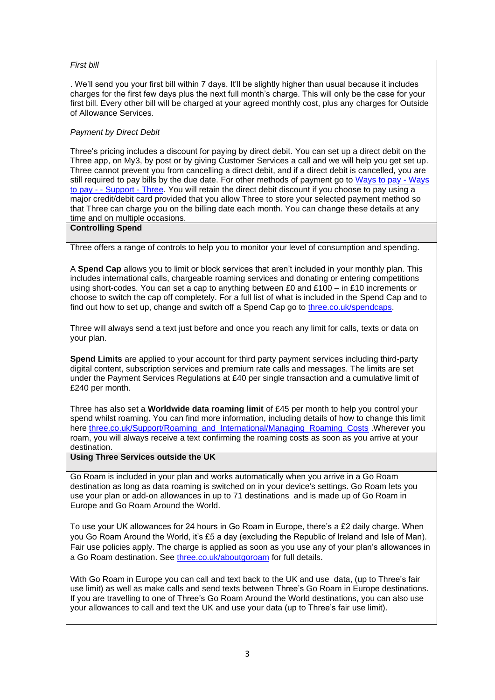### *First bill*

. We'll send you your first bill within 7 days. It'll be slightly higher than usual because it includes charges for the first few days plus the next full month's charge. This will only be the case for your first bill. Every other bill will be charged at your agreed monthly cost, plus any charges for Outside of Allowance Services.

### *Payment by Direct Debit*

Three's pricing includes a discount for paying by direct debit. You can set up a direct debit on the Three app, on My3, by post or by giving Customer Services a call and we will help you get set up. Three cannot prevent you from cancelling a direct debit, and if a direct debit is cancelled, you are still required to pay bills by the due date. For other methods of payment go to [Ways to pay -](http://support.three.co.uk/SRVS/CGI-BIN/WEBISAPI.DLL?Command=New,Kb=Mobile,Ts=Mobile,T=Article,varset_cat=billing,varset_subcat=3768,Case=obj(42318)) Ways to pay - - [Support -](http://support.three.co.uk/SRVS/CGI-BIN/WEBISAPI.DLL?Command=New,Kb=Mobile,Ts=Mobile,T=Article,varset_cat=billing,varset_subcat=3768,Case=obj(42318)) Three. You will retain the direct debit discount if you choose to pay using a major credit/debit card provided that you allow Three to store your selected payment method so that Three can charge you on the billing date each month. You can change these details at any time and on multiple occasions.

#### **Controlling Spend**

Three offers a range of controls to help you to monitor your level of consumption and spending.

A **Spend Cap** allows you to limit or block services that aren't included in your monthly plan. This includes international calls, chargeable roaming services and donating or entering competitions using short-codes. You can set a cap to anything between £0 and £100 – in £10 increments or choose to switch the cap off completely. For a full list of what is included in the Spend Cap and to find out how to set up, change and switch off a Spend Cap go to [three.co.uk/spendcaps.](http://support.three.co.uk/SRVS/CGI-BIN/WEBISAPI.DLL?Command=New,Kb=Mobile,Ts=Mobile,T=Article,varset_cat=billing,varset_subcat=3770,Case=obj(31394))

Three will always send a text just before and once you reach any limit for calls, texts or data on your plan.

**Spend Limits** are applied to your account for third party payment services including third-party digital content, subscription services and premium rate calls and messages. The limits are set under the Payment Services Regulations at £40 per single transaction and a cumulative limit of £240 per month.

Three has also set a **Worldwide data roaming limit** of £45 per month to help you control your spend whilst roaming. You can find more information, including details of how to change this limit here [three.co.uk/Support/Roaming\\_and\\_International/Managing\\_Roaming\\_Costs](https://www.three.co.uk/Support/Roaming_and_International/Managing_Roaming_Costs) .Wherever you roam, you will always receive a text confirming the roaming costs as soon as you arrive at your destination.

### **Using Three Services outside the UK**

Go Roam is included in your plan and works automatically when you arrive in a Go Roam destination as long as data roaming is switched on in your device's settings. Go Roam lets you use your plan or add-on allowances in up to 71 destinations and is made up of Go Roam in Europe and Go Roam Around the World.

To use your UK allowances for 24 hours in Go Roam in Europe, there's a £2 daily charge. When you Go Roam Around the World, it's £5 a day (excluding the Republic of Ireland and Isle of Man). Fair use policies apply. The charge is applied as soon as you use any of your plan's allowances in a Go Roam destination. See [three.co.uk/aboutgoroam](https://three.co.uk/aboutgoroam) for full details.

With Go Roam in Europe you can call and text back to the UK and use data, (up to Three's fair use limit) as well as make calls and send texts between Three's Go Roam in Europe destinations. If you are travelling to one of Three's Go Roam Around the World destinations, you can also use your allowances to call and text the UK and use your data (up to Three's fair use limit).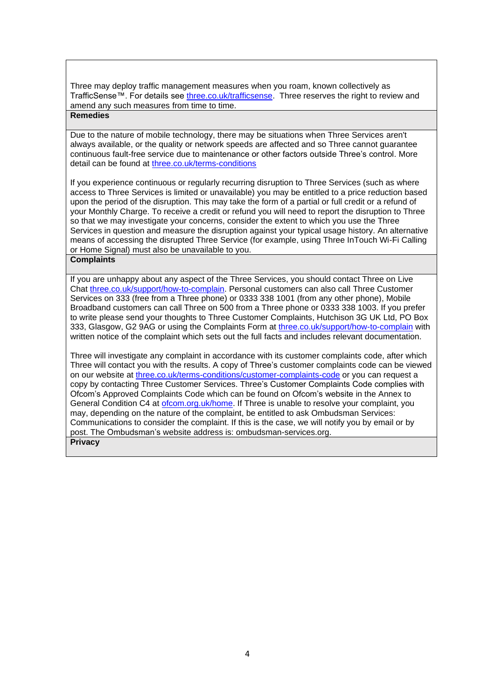Three may deploy traffic management measures when you roam, known collectively as TrafficSense™. For details see [three.co.uk/trafficsense.](Three.co.uk/trafficsense) Three reserves the right to review and amend any such measures from time to time.

## **Remedies**

Due to the nature of mobile technology, there may be situations when Three Services aren't always available, or the quality or network speeds are affected and so Three cannot guarantee continuous fault-free service due to maintenance or other factors outside Three's control. More detail can be found at [three.co.uk/terms-conditions](https://www.three.co.uk/terms-conditions/paym-and-payg)

If you experience continuous or regularly recurring disruption to Three Services (such as where access to Three Services is limited or unavailable) you may be entitled to a price reduction based upon the period of the disruption. This may take the form of a partial or full credit or a refund of your Monthly Charge. To receive a credit or refund you will need to report the disruption to Three so that we may investigate your concerns, consider the extent to which you use the Three Services in question and measure the disruption against your typical usage history. An alternative means of accessing the disrupted Three Service (for example, using Three InTouch Wi-Fi Calling or Home Signal) must also be unavailable to you.

#### **Complaints**

If you are unhappy about any aspect of the Three Services, you should contact Three on Live Chat [three.co.uk/support/how-to-complain.](http://www.three.co.uk/support/how-to-complain) Personal customers can also call Three Customer Services on 333 (free from a Three phone) or 0333 338 1001 (from any other phone), Mobile Broadband customers can call Three on 500 from a Three phone or 0333 338 1003. If you prefer to write please send your thoughts to Three Customer Complaints, Hutchison 3G UK Ltd, PO Box 333, Glasgow, G2 9AG or using the Complaints Form at [three.co.uk/support/how-to-complain](http://www.three.co.uk/support/how-to-complain) with written notice of the complaint which sets out the full facts and includes relevant documentation.

Three will investigate any complaint in accordance with its customer complaints code, after which Three will contact you with the results. A copy of Three's customer complaints code can be viewed on our website at [three.co.uk/terms-conditions/customer-complaints-code](http://www.three.co.uk/terms-conditions/customer-complaints-code) or you can request a copy by contacting Three Customer Services. Three's Customer Complaints Code complies with Ofcom's Approved Complaints Code which can be found on Ofcom's website in the Annex to General Condition C4 at [ofcom.org.uk/home.](ofcom.org.uk/home) If Three is unable to resolve your complaint, you may, depending on the nature of the complaint, be entitled to ask Ombudsman Services: Communications to consider the complaint. If this is the case, we will notify you by email or by post. The Ombudsman's website address is: [ombudsman-services.org.](https://www.ombudsman-services.org/)  **Privacy**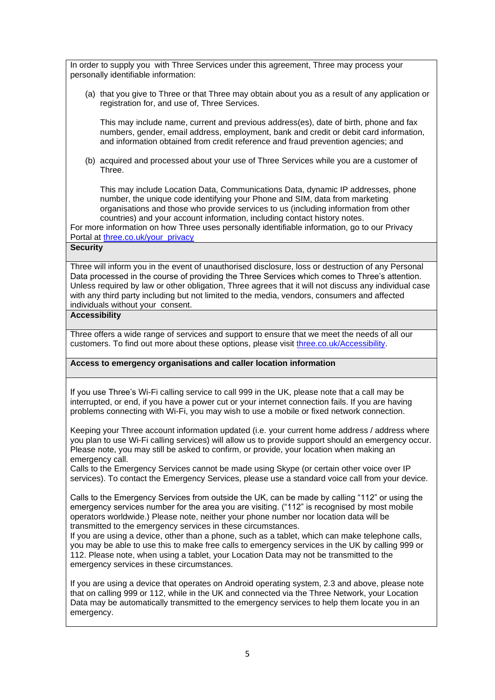In order to supply you with Three Services under this agreement, Three may process your personally identifiable information:

(a) that you give to Three or that Three may obtain about you as a result of any application or registration for, and use of, Three Services.

This may include name, current and previous address(es), date of birth, phone and fax numbers, gender, email address, employment, bank and credit or debit card information, and information obtained from credit reference and fraud prevention agencies; and

(b) acquired and processed about your use of Three Services while you are a customer of Three.

This may include Location Data, Communications Data, dynamic IP addresses, phone number, the unique code identifying your Phone and SIM, data from marketing organisations and those who provide services to us (including information from other countries) and your account information, including contact history notes.

For more information on how Three uses personally identifiable information, go to our Privacy Portal at [three.co.uk/your\\_privacy](https://eur01.safelinks.protection.outlook.com/?url=http%3A%2F%2Fwww.three.co.uk%2Fyour_privacy&data=04%7C01%7CKate.Oleary%40three.co.uk%7C0dcc5c62d25049fd6c8c08d9fd59d343%7Ca095b75b77a24e28afc227edd1d6b0ab%7C1%7C0%7C637819384511047150%7CUnknown%7CTWFpbGZsb3d8eyJWIjoiMC4wLjAwMDAiLCJQIjoiV2luMzIiLCJBTiI6Ik1haWwiLCJXVCI6Mn0%3D%7C3000&sdata=ZvwWLVNAk30KZ1ZselaNG9piNG3wcCX1dRIm8%2FlnUqg%3D&reserved=0)

# **Security**

Three will inform you in the event of unauthorised disclosure, loss or destruction of any Personal Data processed in the course of providing the Three Services which comes to Three's attention. Unless required by law or other obligation, Three agrees that it will not discuss any individual case with any third party including but not limited to the media, vendors, consumers and affected individuals without your consent.

#### **Accessibility**

Three offers a wide range of services and support to ensure that we meet the needs of all our customers. To find out more about these options, please visit [three.co.uk/Accessibility.](http://www.three.co.uk/Accessibility)

#### **Access to emergency organisations and caller location information**

If you use Three's Wi-Fi calling service to call 999 in the UK, please note that a call may be interrupted, or end, if you have a power cut or your internet connection fails. If you are having problems connecting with Wi-Fi, you may wish to use a mobile or fixed network connection.

Keeping your Three account information updated (i.e. your current home address / address where you plan to use Wi-Fi calling services) will allow us to provide support should an emergency occur. Please note, you may still be asked to confirm, or provide, your location when making an emergency call.

Calls to the Emergency Services cannot be made using Skype (or certain other voice over IP services). To contact the Emergency Services, please use a standard voice call from your device.

Calls to the Emergency Services from outside the UK, can be made by calling "112" or using the emergency services number for the area you are visiting. ("112" is recognised by most mobile operators worldwide.) Please note, neither your phone number nor location data will be transmitted to the emergency services in these circumstances.

If you are using a device, other than a phone, such as a tablet, which can make telephone calls, you may be able to use this to make free calls to emergency services in the UK by calling 999 or 112. Please note, when using a tablet, your Location Data may not be transmitted to the emergency services in these circumstances.

If you are using a device that operates on Android operating system, 2.3 and above, please note that on calling 999 or 112, while in the UK and connected via the Three Network, your Location Data may be automatically transmitted to the emergency services to help them locate you in an emergency.